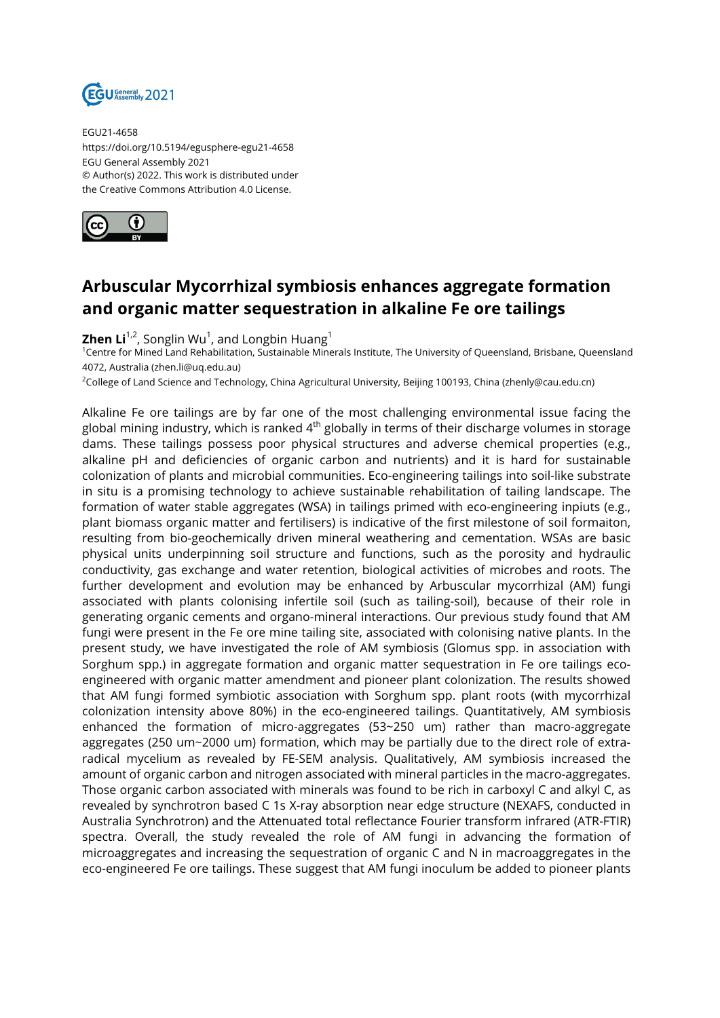

EGU21-4658 https://doi.org/10.5194/egusphere-egu21-4658 EGU General Assembly 2021 © Author(s) 2022. This work is distributed under the Creative Commons Attribution 4.0 License.



## **Arbuscular Mycorrhizal symbiosis enhances aggregate formation and organic matter sequestration in alkaline Fe ore tailings**

 $\mathsf{Zhen}\, \mathsf{Li}^{1,2}$ , Songlin Wu $^1$ , and Longbin Huang $^1$ 

<sup>1</sup>Centre for Mined Land Rehabilitation, Sustainable Minerals Institute, The University of Queensland, Brisbane, Queensland 4072, Australia (zhen.li@uq.edu.au)

<sup>2</sup>College of Land Science and Technology, China Agricultural University, Beijing 100193, China (zhenly@cau.edu.cn)

Alkaline Fe ore tailings are by far one of the most challenging environmental issue facing the global mining industry, which is ranked  $4<sup>th</sup>$  globally in terms of their discharge volumes in storage dams. These tailings possess poor physical structures and adverse chemical properties (e.g., alkaline pH and deficiencies of organic carbon and nutrients) and it is hard for sustainable colonization of plants and microbial communities. Eco-engineering tailings into soil-like substrate in situ is a promising technology to achieve sustainable rehabilitation of tailing landscape. The formation of water stable aggregates (WSA) in tailings primed with eco-engineering inpiuts (e.g., plant biomass organic matter and fertilisers) is indicative of the first milestone of soil formaiton, resulting from bio-geochemically driven mineral weathering and cementation. WSAs are basic physical units underpinning soil structure and functions, such as the porosity and hydraulic conductivity, gas exchange and water retention, biological activities of microbes and roots. The further development and evolution may be enhanced by Arbuscular mycorrhizal (AM) fungi associated with plants colonising infertile soil (such as tailing-soil), because of their role in generating organic cements and organo-mineral interactions. Our previous study found that AM fungi were present in the Fe ore mine tailing site, associated with colonising native plants. In the present study, we have investigated the role of AM symbiosis (Glomus spp. in association with Sorghum spp.) in aggregate formation and organic matter sequestration in Fe ore tailings ecoengineered with organic matter amendment and pioneer plant colonization. The results showed that AM fungi formed symbiotic association with Sorghum spp. plant roots (with mycorrhizal colonization intensity above 80%) in the eco-engineered tailings. Quantitatively, AM symbiosis enhanced the formation of micro-aggregates (53~250 um) rather than macro-aggregate aggregates (250 um~2000 um) formation, which may be partially due to the direct role of extraradical mycelium as revealed by FE-SEM analysis. Qualitatively, AM symbiosis increased the amount of organic carbon and nitrogen associated with mineral particles in the macro-aggregates. Those organic carbon associated with minerals was found to be rich in carboxyl C and alkyl C, as revealed by synchrotron based C 1s X-ray absorption near edge structure (NEXAFS, conducted in Australia Synchrotron) and the Attenuated total reflectance Fourier transform infrared (ATR-FTIR) spectra. Overall, the study revealed the role of AM fungi in advancing the formation of microaggregates and increasing the sequestration of organic C and N in macroaggregates in the eco-engineered Fe ore tailings. These suggest that AM fungi inoculum be added to pioneer plants